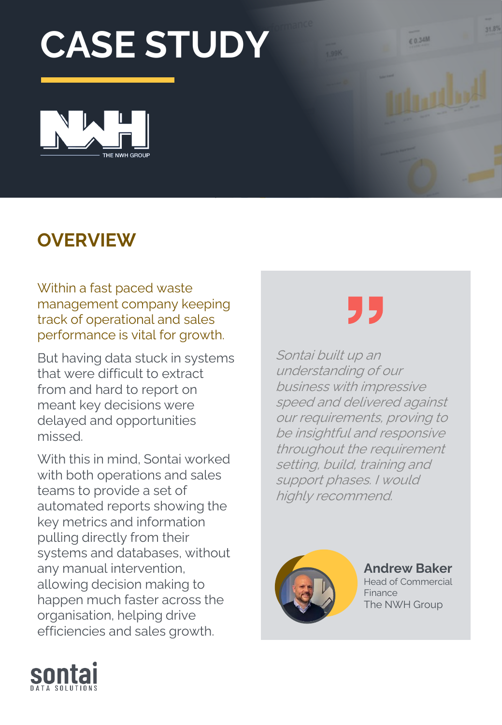# **CASE STUDY**



### **OVERVIEW**

Within a fast paced waste management company keeping track of operational and sales performance is vital for growth.

But having data stuck in systems that were difficult to extract from and hard to report on meant key decisions were delayed and opportunities missed.

With this in mind, Sontai worked with both operations and sales teams to provide a set of automated reports showing the key metrics and information pulling directly from their systems and databases, without any manual intervention, allowing decision making to happen much faster across the organisation, helping drive efficiencies and sales growth.



€ 0.34M

Sontai built up an understanding of our business with impressive speed and delivered against our requirements, proving to be insightful and responsive throughout the requirement setting, build, training and support phases. I would highly recommend.



**Andrew Baker**

Head of Commercial Finance The NWH Group